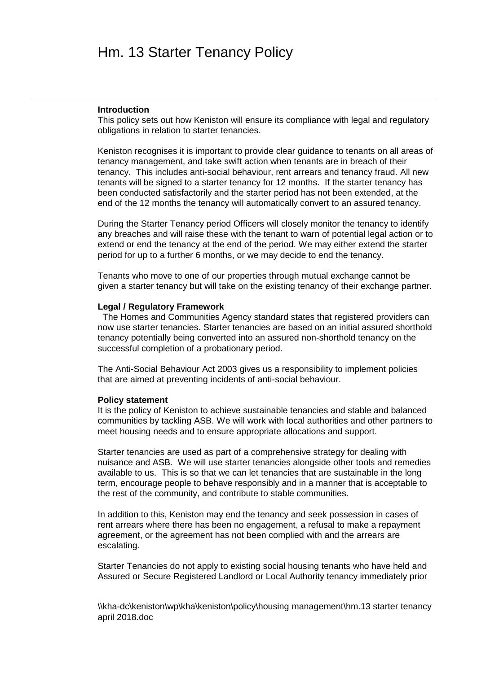# Hm. 13 Starter Tenancy Policy

#### **Introduction**

This policy sets out how Keniston will ensure its compliance with legal and regulatory obligations in relation to starter tenancies.

Keniston recognises it is important to provide clear guidance to tenants on all areas of tenancy management, and take swift action when tenants are in breach of their tenancy. This includes anti-social behaviour, rent arrears and tenancy fraud. All new tenants will be signed to a starter tenancy for 12 months. If the starter tenancy has been conducted satisfactorily and the starter period has not been extended, at the end of the 12 months the tenancy will automatically convert to an assured tenancy.

During the Starter Tenancy period Officers will closely monitor the tenancy to identify any breaches and will raise these with the tenant to warn of potential legal action or to extend or end the tenancy at the end of the period. We may either extend the starter period for up to a further 6 months, or we may decide to end the tenancy.

Tenants who move to one of our properties through mutual exchange cannot be given a starter tenancy but will take on the existing tenancy of their exchange partner.

# **Legal / Regulatory Framework**

 The Homes and Communities Agency standard states that registered providers can now use starter tenancies. Starter tenancies are based on an initial assured shorthold tenancy potentially being converted into an assured non-shorthold tenancy on the successful completion of a probationary period.

The Anti-Social Behaviour Act 2003 gives us a responsibility to implement policies that are aimed at preventing incidents of anti-social behaviour.

#### **Policy statement**

It is the policy of Keniston to achieve sustainable tenancies and stable and balanced communities by tackling ASB. We will work with local authorities and other partners to meet housing needs and to ensure appropriate allocations and support.

Starter tenancies are used as part of a comprehensive strategy for dealing with nuisance and ASB. We will use starter tenancies alongside other tools and remedies available to us. This is so that we can let tenancies that are sustainable in the long term, encourage people to behave responsibly and in a manner that is acceptable to the rest of the community, and contribute to stable communities.

In addition to this, Keniston may end the tenancy and seek possession in cases of rent arrears where there has been no engagement, a refusal to make a repayment agreement, or the agreement has not been complied with and the arrears are escalating.

Starter Tenancies do not apply to existing social housing tenants who have held and Assured or Secure Registered Landlord or Local Authority tenancy immediately prior

\\kha-dc\keniston\wp\kha\keniston\policy\housing management\hm.13 starter tenancy april 2018.doc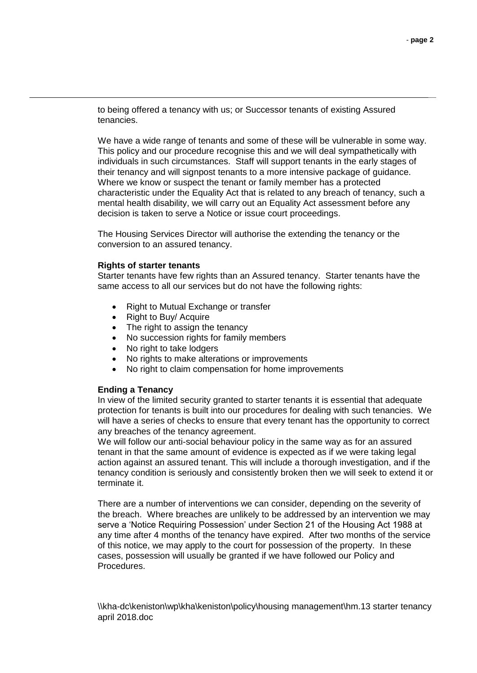to being offered a tenancy with us; or Successor tenants of existing Assured tenancies.

We have a wide range of tenants and some of these will be vulnerable in some way. This policy and our procedure recognise this and we will deal sympathetically with individuals in such circumstances. Staff will support tenants in the early stages of their tenancy and will signpost tenants to a more intensive package of guidance. Where we know or suspect the tenant or family member has a protected characteristic under the Equality Act that is related to any breach of tenancy, such a mental health disability, we will carry out an Equality Act assessment before any decision is taken to serve a Notice or issue court proceedings.

The Housing Services Director will authorise the extending the tenancy or the conversion to an assured tenancy.

## **Rights of starter tenants**

Starter tenants have few rights than an Assured tenancy. Starter tenants have the same access to all our services but do not have the following rights:

- Right to Mutual Exchange or transfer
- Right to Buy/ Acquire
- The right to assign the tenancy
- No succession rights for family members
- No right to take lodgers
- No rights to make alterations or improvements
- No right to claim compensation for home improvements

## **Ending a Tenancy**

In view of the limited security granted to starter tenants it is essential that adequate protection for tenants is built into our procedures for dealing with such tenancies. We will have a series of checks to ensure that every tenant has the opportunity to correct any breaches of the tenancy agreement.

We will follow our anti-social behaviour policy in the same way as for an assured tenant in that the same amount of evidence is expected as if we were taking legal action against an assured tenant. This will include a thorough investigation, and if the tenancy condition is seriously and consistently broken then we will seek to extend it or terminate it.

There are a number of interventions we can consider, depending on the severity of the breach. Where breaches are unlikely to be addressed by an intervention we may serve a 'Notice Requiring Possession' under Section 21 of the Housing Act 1988 at any time after 4 months of the tenancy have expired. After two months of the service of this notice, we may apply to the court for possession of the property. In these cases, possession will usually be granted if we have followed our Policy and Procedures.

\\kha-dc\keniston\wp\kha\keniston\policy\housing management\hm.13 starter tenancy april 2018.doc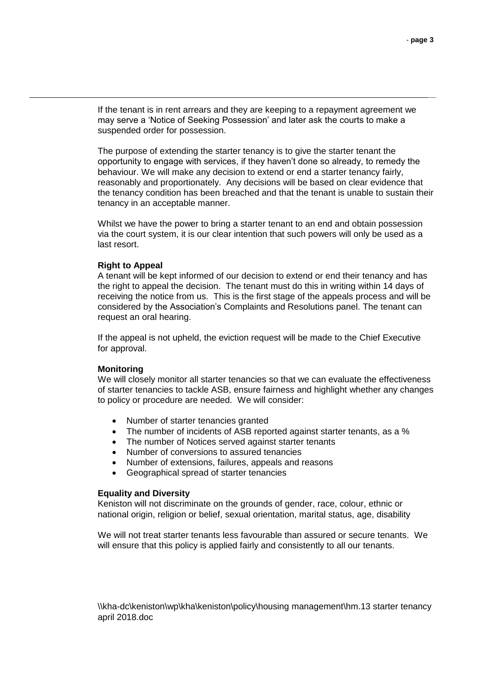If the tenant is in rent arrears and they are keeping to a repayment agreement we may serve a 'Notice of Seeking Possession' and later ask the courts to make a suspended order for possession.

The purpose of extending the starter tenancy is to give the starter tenant the opportunity to engage with services, if they haven't done so already, to remedy the behaviour. We will make any decision to extend or end a starter tenancy fairly, reasonably and proportionately. Any decisions will be based on clear evidence that the tenancy condition has been breached and that the tenant is unable to sustain their tenancy in an acceptable manner.

Whilst we have the power to bring a starter tenant to an end and obtain possession via the court system, it is our clear intention that such powers will only be used as a last resort.

## **Right to Appeal**

A tenant will be kept informed of our decision to extend or end their tenancy and has the right to appeal the decision. The tenant must do this in writing within 14 days of receiving the notice from us. This is the first stage of the appeals process and will be considered by the Association's Complaints and Resolutions panel. The tenant can request an oral hearing.

If the appeal is not upheld, the eviction request will be made to the Chief Executive for approval.

## **Monitoring**

We will closely monitor all starter tenancies so that we can evaluate the effectiveness of starter tenancies to tackle ASB, ensure fairness and highlight whether any changes to policy or procedure are needed. We will consider:

- Number of starter tenancies granted
- The number of incidents of ASB reported against starter tenants, as a %
- The number of Notices served against starter tenants
- Number of conversions to assured tenancies
- Number of extensions, failures, appeals and reasons
- Geographical spread of starter tenancies

## **Equality and Diversity**

Keniston will not discriminate on the grounds of gender, race, colour, ethnic or national origin, religion or belief, sexual orientation, marital status, age, disability

We will not treat starter tenants less favourable than assured or secure tenants. We will ensure that this policy is applied fairly and consistently to all our tenants.

\\kha-dc\keniston\wp\kha\keniston\policy\housing management\hm.13 starter tenancy april 2018.doc